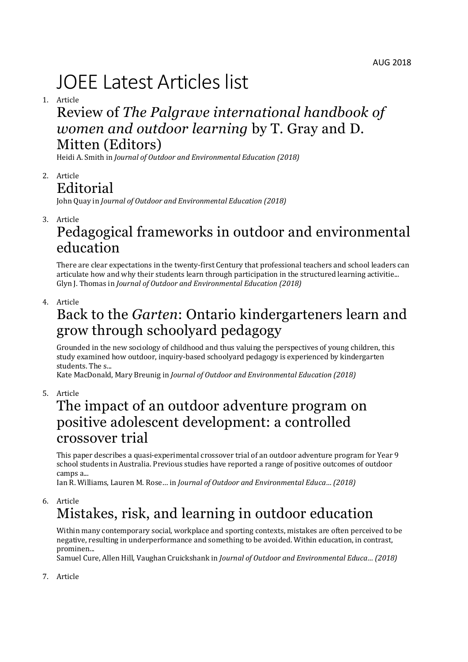# JOEE Latest Articles list

1. Article

# Review of *The Palgrave international handbook of women and outdoor learning* by T. Gray and D. Mitten (Editors)

Heidi A. Smith in *Journal of Outdoor and Environmental Education (2018)*

2. Article **Editorial** 

John Quay in *Journal of Outdoor and Environmental Education (2018)*

3. Article

### Pedagogical frameworks in outdoor and environmental education

There are clear expectations in the twenty-first Century that professional teachers and school leaders can articulate how and why their students learn through participation in the structured learning activitie... Glyn J. Thomas in *Journal of Outdoor and Environmental Education (2018)*

4. Article

# Back to the *Garten*: Ontario kindergarteners learn and grow through schoolyard pedagogy

Grounded in the new sociology of childhood and thus valuing the perspectives of young children, this study examined how outdoor, inquiry-based schoolyard pedagogy is experienced by kindergarten students. The s...

Kate MacDonald, Mary Breunig in *Journal of Outdoor and Environmental Education (2018)*

5. Article

### The impact of an outdoor adventure program on positive adolescent development: a controlled crossover trial

This paper describes a quasi-experimental crossover trial of an outdoor adventure program for Year 9 school students in Australia. Previous studies have reported a range of positive outcomes of outdoor camps a...

Ian R. Williams, Lauren M. Rose… in *Journal of Outdoor and Environmental Educa… (2018)*

6. Article

# Mistakes, risk, and learning in outdoor education

Within many contemporary social, workplace and sporting contexts, mistakes are often perceived to be negative, resulting in underperformance and something to be avoided. Within education, in contrast, prominen...

Samuel Cure, Allen Hill, Vaughan Cruickshank in *Journal of Outdoor and Environmental Educa… (2018)*

7. Article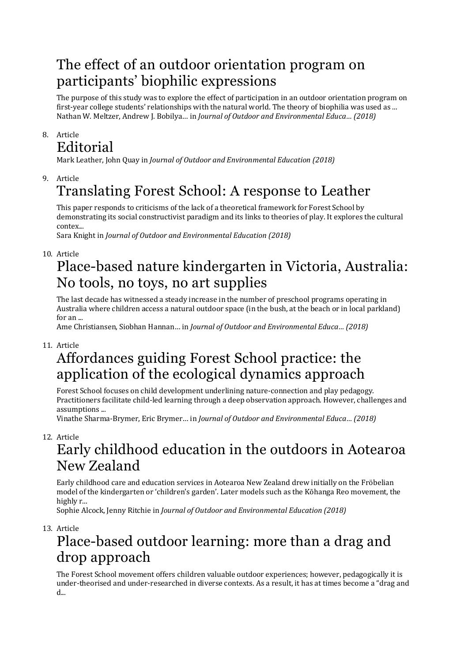### The effect of an outdoor orientation program on participants' biophilic expressions

The purpose of this study was to explore the effect of participation in an outdoor orientation program on first-year college students' relationships with the natural world. The theory of biophilia was used as ... Nathan W. Meltzer, Andrew J. Bobilya… in *Journal of Outdoor and Environmental Educa… (2018)*

#### 8. Article Editorial

Mark Leather, John Quay in *Journal of Outdoor and Environmental Education (2018)*

9. Article

# Translating Forest School: A response to Leather

This paper responds to criticisms of the lack of a theoretical framework for Forest School by demonstrating its social constructivist paradigm and its links to theories of play. It explores the cultural contex...

Sara Knight in *Journal of Outdoor and Environmental Education (2018)*

10. Article

# Place-based nature kindergarten in Victoria, Australia: No tools, no toys, no art supplies

The last decade has witnessed a steady increase in the number of preschool programs operating in Australia where children access a natural outdoor space (in the bush, at the beach or in local parkland)  $for an$ 

Ame Christiansen, Siobhan Hannan… in *Journal of Outdoor and Environmental Educa… (2018)*

#### 11. Article

# Affordances guiding Forest School practice: the application of the ecological dynamics approach

Forest School focuses on child development underlining nature-connection and play pedagogy. Practitioners facilitate child-led learning through a deep observation approach. However, challenges and assumptions ...

Vinathe Sharma-Brymer, Eric Brymer… in *Journal of Outdoor and Environmental Educa… (2018)*

12. Article

### Early childhood education in the outdoors in Aotearoa New Zealand

Early childhood care and education services in Aotearoa New Zealand drew initially on the Fröbelian model of the kindergarten or 'children's garden'. Later models such as the Kōhanga Reo movement, the highly r...

Sophie Alcock, Jenny Ritchie in *Journal of Outdoor and Environmental Education (2018)*

13. Article

# Place-based outdoor learning: more than a drag and drop approach

The Forest School movement offers children valuable outdoor experiences; however, pedagogically it is under-theorised and under-researched in diverse contexts. As a result, it has at times become a "drag and  $d_{\perp}$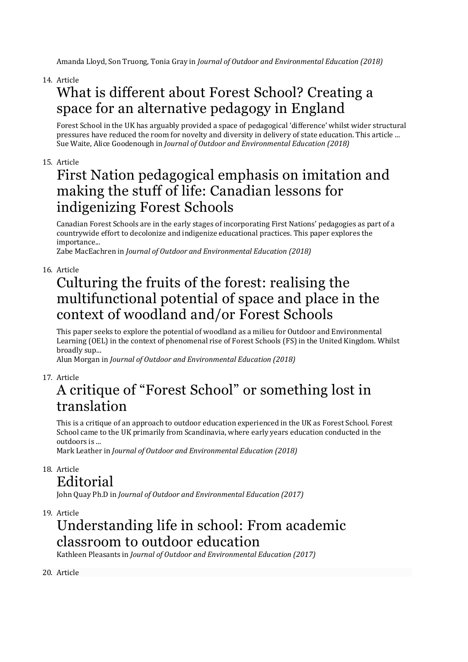Amanda Lloyd, Son Truong, Tonia Gray in *Journal of Outdoor and Environmental Education (2018)*

14. Article

# What is different about Forest School? Creating a space for an alternative pedagogy in England

Forest School in the UK has arguably provided a space of pedagogical 'difference' whilst wider structural pressures have reduced the room for novelty and diversity in delivery of state education. This article ... Sue Waite, Alice Goodenough in *Journal of Outdoor and Environmental Education (2018)*

#### 15. Article

### First Nation pedagogical emphasis on imitation and making the stuff of life: Canadian lessons for indigenizing Forest Schools

Canadian Forest Schools are in the early stages of incorporating First Nations' pedagogies as part of a countrywide effort to decolonize and indigenize educational practices. This paper explores the importance...

Zabe MacEachren in *Journal of Outdoor and Environmental Education (2018)*

#### 16. Article

# Culturing the fruits of the forest: realising the multifunctional potential of space and place in the context of woodland and/or Forest Schools

This paper seeks to explore the potential of woodland as a milieu for Outdoor and Environmental Learning (OEL) in the context of phenomenal rise of Forest Schools (FS) in the United Kingdom. Whilst broadly sup...

Alun Morgan in *Journal of Outdoor and Environmental Education (2018)*

#### 17. Article

# A critique of "Forest School" or something lost in translation

This is a critique of an approach to outdoor education experienced in the UK as Forest School. Forest School came to the UK primarily from Scandinavia, where early years education conducted in the outdoors is ...

Mark Leather in *Journal of Outdoor and Environmental Education (2018)*

18. Article

#### Editorial

John Quay Ph.D in *Journal of Outdoor and Environmental Education (2017)*

19. Article

# Understanding life in school: From academic classroom to outdoor education

Kathleen Pleasants in *Journal of Outdoor and Environmental Education (2017)*

20. Article